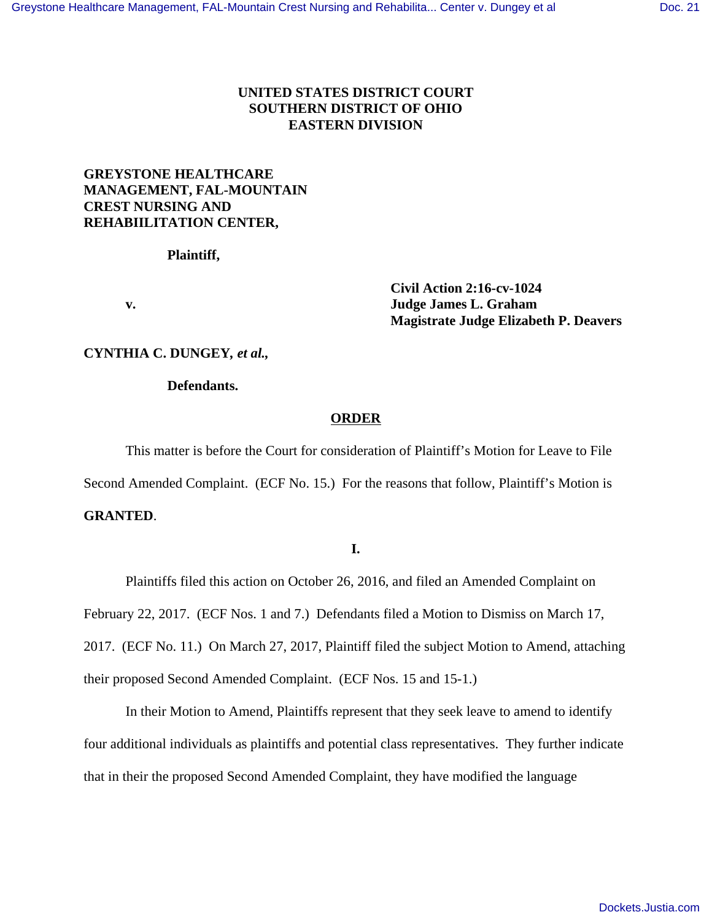## **UNITED STATES DISTRICT COURT SOUTHERN DISTRICT OF OHIO EASTERN DIVISION**

# **GREYSTONE HEALTHCARE MANAGEMENT, FAL-MOUNTAIN CREST NURSING AND REHABIILITATION CENTER,**

**Plaintiff,**

 **Civil Action 2:16-cv-1024 v. Judge James L. Graham Magistrate Judge Elizabeth P. Deavers**

### **CYNTHIA C. DUNGEY***, et al.,*

#### **Defendants.**

### **ORDER**

This matter is before the Court for consideration of Plaintiff's Motion for Leave to File Second Amended Complaint. (ECF No. 15.) For the reasons that follow, Plaintiff's Motion is **GRANTED**.

### **I.**

Plaintiffs filed this action on October 26, 2016, and filed an Amended Complaint on February 22, 2017. (ECF Nos. 1 and 7.) Defendants filed a Motion to Dismiss on March 17, 2017. (ECF No. 11.) On March 27, 2017, Plaintiff filed the subject Motion to Amend, attaching their proposed Second Amended Complaint. (ECF Nos. 15 and 15-1.)

In their Motion to Amend, Plaintiffs represent that they seek leave to amend to identify four additional individuals as plaintiffs and potential class representatives. They further indicate that in their the proposed Second Amended Complaint, they have modified the language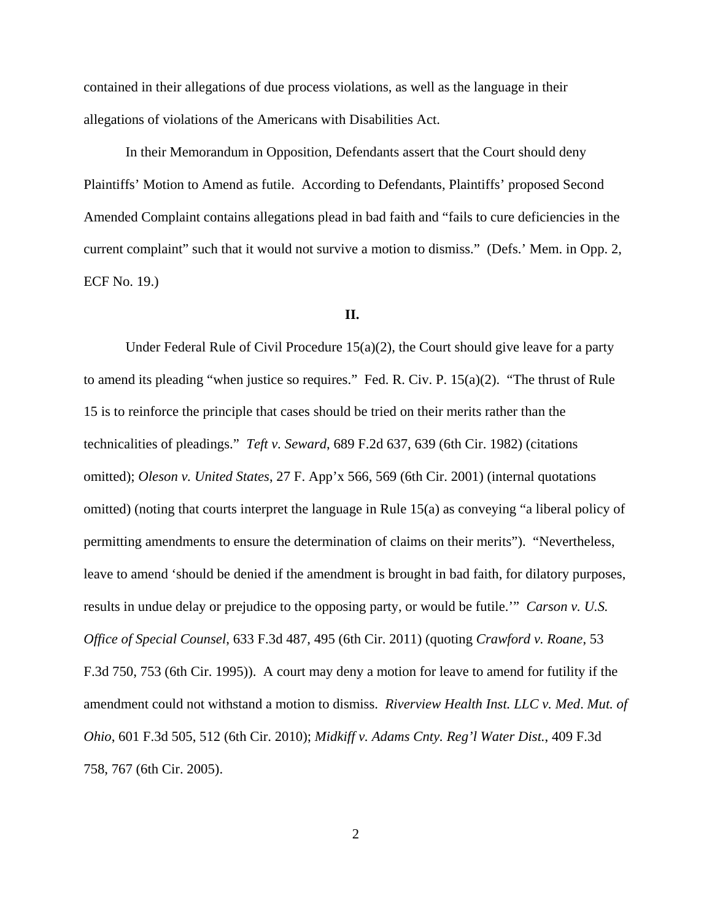contained in their allegations of due process violations, as well as the language in their allegations of violations of the Americans with Disabilities Act.

In their Memorandum in Opposition, Defendants assert that the Court should deny Plaintiffs' Motion to Amend as futile. According to Defendants, Plaintiffs' proposed Second Amended Complaint contains allegations plead in bad faith and "fails to cure deficiencies in the current complaint" such that it would not survive a motion to dismiss." (Defs.' Mem. in Opp. 2, ECF No. 19.)

### **II.**

Under Federal Rule of Civil Procedure  $15(a)(2)$ , the Court should give leave for a party to amend its pleading "when justice so requires." Fed. R. Civ. P. 15(a)(2). "The thrust of Rule 15 is to reinforce the principle that cases should be tried on their merits rather than the technicalities of pleadings." *Teft v. Seward*, 689 F.2d 637, 639 (6th Cir. 1982) (citations omitted); *Oleson v. United States*, 27 F. App'x 566, 569 (6th Cir. 2001) (internal quotations omitted) (noting that courts interpret the language in Rule 15(a) as conveying "a liberal policy of permitting amendments to ensure the determination of claims on their merits"). "Nevertheless, leave to amend 'should be denied if the amendment is brought in bad faith, for dilatory purposes, results in undue delay or prejudice to the opposing party, or would be futile.'" *Carson v. U.S. Office of Special Counsel*, 633 F.3d 487, 495 (6th Cir. 2011) (quoting *Crawford v. Roane*, 53 F.3d 750, 753 (6th Cir. 1995)). A court may deny a motion for leave to amend for futility if the amendment could not withstand a motion to dismiss. *Riverview Health Inst. LLC v. Med*. *Mut. of Ohio*, 601 F.3d 505, 512 (6th Cir. 2010); *Midkiff v. Adams Cnty. Reg'l Water Dist.*, 409 F.3d 758, 767 (6th Cir. 2005).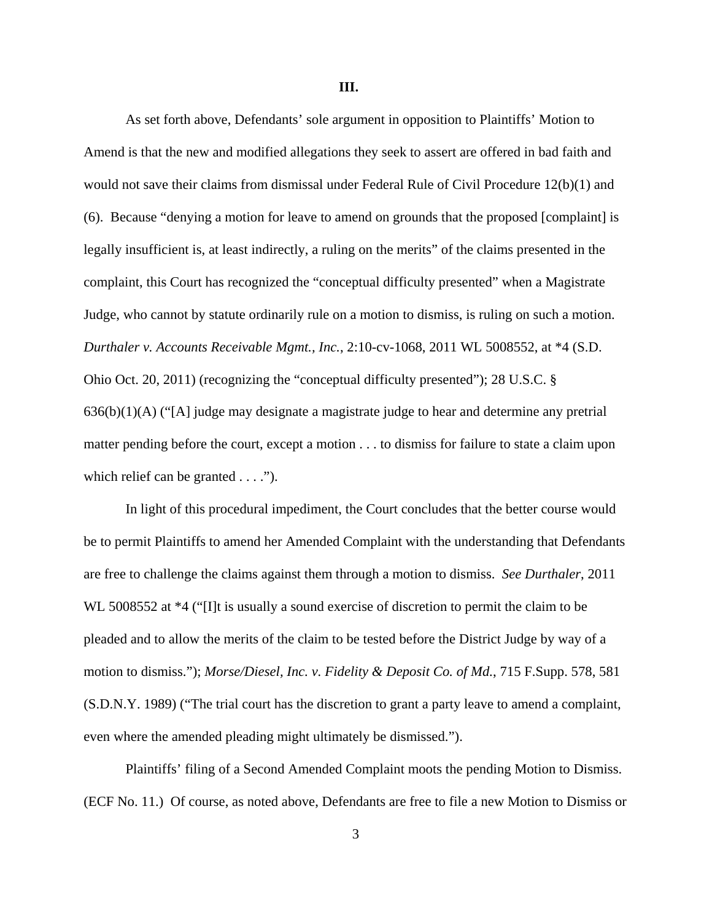As set forth above, Defendants' sole argument in opposition to Plaintiffs' Motion to Amend is that the new and modified allegations they seek to assert are offered in bad faith and would not save their claims from dismissal under Federal Rule of Civil Procedure 12(b)(1) and (6). Because "denying a motion for leave to amend on grounds that the proposed [complaint] is legally insufficient is, at least indirectly, a ruling on the merits" of the claims presented in the complaint, this Court has recognized the "conceptual difficulty presented" when a Magistrate Judge, who cannot by statute ordinarily rule on a motion to dismiss, is ruling on such a motion. *Durthaler v. Accounts Receivable Mgmt., Inc.*, 2:10-cv-1068, 2011 WL 5008552, at \*4 (S.D. Ohio Oct. 20, 2011) (recognizing the "conceptual difficulty presented"); 28 U.S.C. § 636(b)(1)(A) ("[A] judge may designate a magistrate judge to hear and determine any pretrial matter pending before the court, except a motion . . . to dismiss for failure to state a claim upon which relief can be granted . . . .").

In light of this procedural impediment, the Court concludes that the better course would be to permit Plaintiffs to amend her Amended Complaint with the understanding that Defendants are free to challenge the claims against them through a motion to dismiss. *See Durthaler*, 2011 WL 5008552 at  $*4$  ("[I]t is usually a sound exercise of discretion to permit the claim to be pleaded and to allow the merits of the claim to be tested before the District Judge by way of a motion to dismiss."); *Morse/Diesel, Inc. v. Fidelity & Deposit Co. of Md.*, 715 F.Supp. 578, 581 (S.D.N.Y. 1989) ("The trial court has the discretion to grant a party leave to amend a complaint, even where the amended pleading might ultimately be dismissed.").

Plaintiffs' filing of a Second Amended Complaint moots the pending Motion to Dismiss. (ECF No. 11.) Of course, as noted above, Defendants are free to file a new Motion to Dismiss or